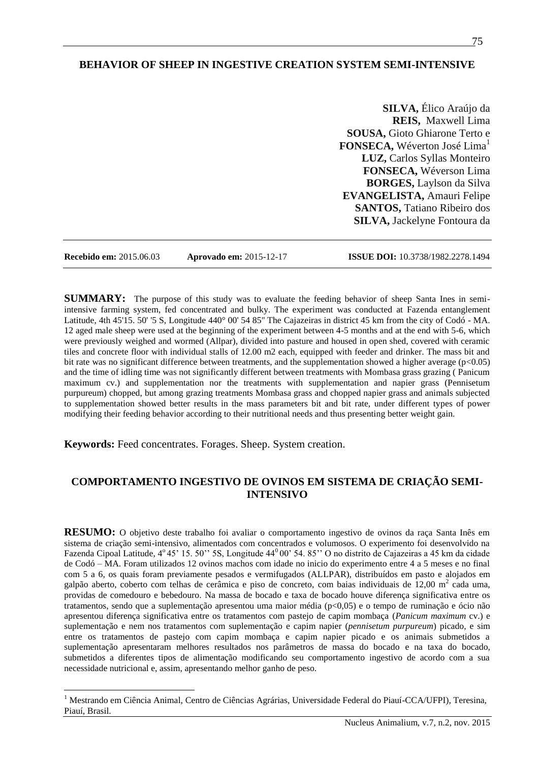# **BEHAVIOR OF SHEEP IN INGESTIVE CREATION SYSTEM SEMI-INTENSIVE**

**SILVA,** Élico Araújo da **REIS,** Maxwell Lima **SOUSA,** Gioto Ghiarone Terto e **FONSECA, Wéverton José Lima<sup>1</sup> LUZ,** Carlos Syllas Monteiro **FONSECA,** Wéverson Lima **BORGES,** Laylson da Silva **EVANGELISTA,** Amauri Felipe **SANTOS,** Tatiano Ribeiro dos **SILVA,** Jackelyne Fontoura da

 $\overline{a}$ 

**Recebido em:** 2015.06.03 **Aprovado em:** 2015-12-17 **ISSUE DOI:** 10.3738/1982.2278.1494

**SUMMARY:** The purpose of this study was to evaluate the feeding behavior of sheep Santa Ines in semiintensive farming system, fed concentrated and bulky. The experiment was conducted at Fazenda entanglement Latitude, 4th 45'15. 50' '5 S, Longitude 440° 00' 54 85'' The Cajazeiras in district 45 km from the city of Codó - MA. 12 aged male sheep were used at the beginning of the experiment between 4-5 months and at the end with 5-6, which were previously weighed and wormed (Allpar), divided into pasture and housed in open shed, covered with ceramic tiles and concrete floor with individual stalls of 12.00 m2 each, equipped with feeder and drinker. The mass bit and bit rate was no significant difference between treatments, and the supplementation showed a higher average  $(p<0.05)$ and the time of idling time was not significantly different between treatments with Mombasa grass grazing ( Panicum maximum cv.) and supplementation nor the treatments with supplementation and napier grass (Pennisetum purpureum) chopped, but among grazing treatments Mombasa grass and chopped napier grass and animals subjected to supplementation showed better results in the mass parameters bit and bit rate, under different types of power modifying their feeding behavior according to their nutritional needs and thus presenting better weight gain.

**Keywords:** Feed concentrates. Forages. Sheep. System creation.

# **COMPORTAMENTO INGESTIVO DE OVINOS EM SISTEMA DE CRIAÇÃO SEMI-INTENSIVO**

**RESUMO:** O objetivo deste trabalho foi avaliar o comportamento ingestivo de ovinos da raça Santa Inês em sistema de criação semi-intensivo, alimentados com concentrados e volumosos. O experimento foi desenvolvido na Fazenda Cipoal Latitude, 4°45' 15. 50" 5S, Longitude 44°00' 54. 85" O no distrito de Cajazeiras a 45 km da cidade de Codó – MA. Foram utilizados 12 ovinos machos com idade no inicio do experimento entre 4 a 5 meses e no final com 5 a 6, os quais foram previamente pesados e vermifugados (ALLPAR), distribuídos em pasto e alojados em galpão aberto, coberto com telhas de cerâmica e piso de concreto, com baias individuais de 12,00 m<sup>2</sup> cada uma, providas de comedouro e bebedouro. Na massa de bocado e taxa de bocado houve diferença significativa entre os tratamentos, sendo que a suplementação apresentou uma maior média (p<0,05) e o tempo de ruminação e ócio não apresentou diferença significativa entre os tratamentos com pastejo de capim mombaça (*Panicum maximum* cv.) e suplementação e nem nos tratamentos com suplementação e capim napier (*pennisetum purpureum*) picado, e sim entre os tratamentos de pastejo com capim mombaça e capim napier picado e os animais submetidos a suplementação apresentaram melhores resultados nos parâmetros de massa do bocado e na taxa do bocado, submetidos a diferentes tipos de alimentação modificando seu comportamento ingestivo de acordo com a sua necessidade nutricional e, assim, apresentando melhor ganho de peso.

<sup>&</sup>lt;sup>1</sup> Mestrando em Ciência Animal, Centro de Ciências Agrárias, Universidade Federal do Piauí-CCA/UFPI), Teresina, Piauí, Brasil.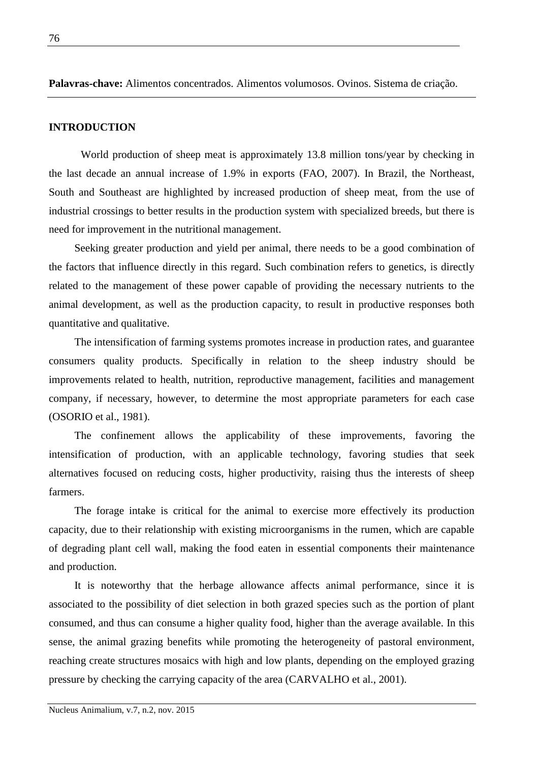**Palavras-chave:** Alimentos concentrados. Alimentos volumosos. Ovinos. Sistema de criação.

### **INTRODUCTION**

World production of sheep meat is approximately 13.8 million tons/year by checking in the last decade an annual increase of 1.9% in exports (FAO, 2007). In Brazil, the Northeast, South and Southeast are highlighted by increased production of sheep meat, from the use of industrial crossings to better results in the production system with specialized breeds, but there is need for improvement in the nutritional management.

Seeking greater production and yield per animal, there needs to be a good combination of the factors that influence directly in this regard. Such combination refers to genetics, is directly related to the management of these power capable of providing the necessary nutrients to the animal development, as well as the production capacity, to result in productive responses both quantitative and qualitative.

The intensification of farming systems promotes increase in production rates, and guarantee consumers quality products. Specifically in relation to the sheep industry should be improvements related to health, nutrition, reproductive management, facilities and management company, if necessary, however, to determine the most appropriate parameters for each case (OSORIO et al., 1981).

The confinement allows the applicability of these improvements, favoring the intensification of production, with an applicable technology, favoring studies that seek alternatives focused on reducing costs, higher productivity, raising thus the interests of sheep farmers.

The forage intake is critical for the animal to exercise more effectively its production capacity, due to their relationship with existing microorganisms in the rumen, which are capable of degrading plant cell wall, making the food eaten in essential components their maintenance and production.

It is noteworthy that the herbage allowance affects animal performance, since it is associated to the possibility of diet selection in both grazed species such as the portion of plant consumed, and thus can consume a higher quality food, higher than the average available. In this sense, the animal grazing benefits while promoting the heterogeneity of pastoral environment, reaching create structures mosaics with high and low plants, depending on the employed grazing pressure by checking the carrying capacity of the area (CARVALHO et al., 2001).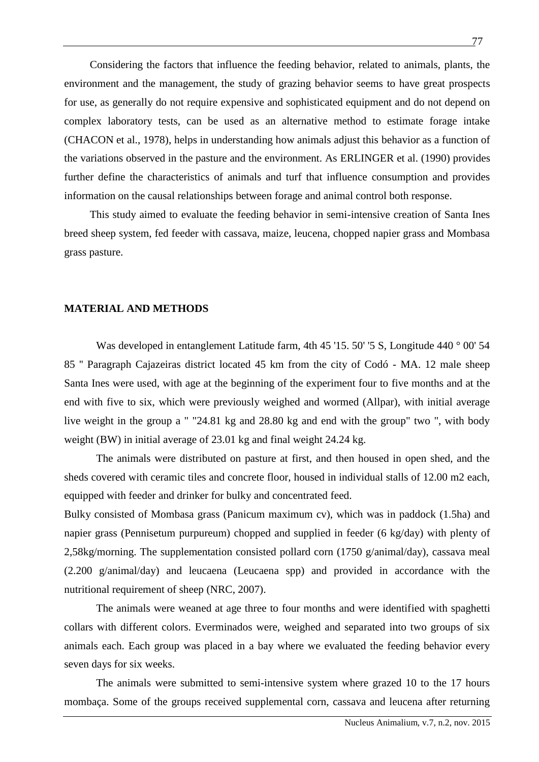Considering the factors that influence the feeding behavior, related to animals, plants, the environment and the management, the study of grazing behavior seems to have great prospects for use, as generally do not require expensive and sophisticated equipment and do not depend on complex laboratory tests, can be used as an alternative method to estimate forage intake (CHACON et al., 1978), helps in understanding how animals adjust this behavior as a function of the variations observed in the pasture and the environment. As ERLINGER et al. (1990) provides further define the characteristics of animals and turf that influence consumption and provides information on the causal relationships between forage and animal control both response.

This study aimed to evaluate the feeding behavior in semi-intensive creation of Santa Ines breed sheep system, fed feeder with cassava, maize, leucena, chopped napier grass and Mombasa grass pasture.

#### **MATERIAL AND METHODS**

Was developed in entanglement Latitude farm, 4th 45 '15. 50' '5 S, Longitude 440 ° 00' 54 85 '' Paragraph Cajazeiras district located 45 km from the city of Codó - MA. 12 male sheep Santa Ines were used, with age at the beginning of the experiment four to five months and at the end with five to six, which were previously weighed and wormed (Allpar), with initial average live weight in the group a " "24.81 kg and 28.80 kg and end with the group" two ", with body weight (BW) in initial average of 23.01 kg and final weight 24.24 kg.

The animals were distributed on pasture at first, and then housed in open shed, and the sheds covered with ceramic tiles and concrete floor, housed in individual stalls of 12.00 m2 each, equipped with feeder and drinker for bulky and concentrated feed.

Bulky consisted of Mombasa grass (Panicum maximum cv), which was in paddock (1.5ha) and napier grass (Pennisetum purpureum) chopped and supplied in feeder (6 kg/day) with plenty of 2,58kg/morning. The supplementation consisted pollard corn (1750 g/animal/day), cassava meal (2.200 g/animal/day) and leucaena (Leucaena spp) and provided in accordance with the nutritional requirement of sheep (NRC, 2007).

The animals were weaned at age three to four months and were identified with spaghetti collars with different colors. Everminados were, weighed and separated into two groups of six animals each. Each group was placed in a bay where we evaluated the feeding behavior every seven days for six weeks.

The animals were submitted to semi-intensive system where grazed 10 to the 17 hours mombaça. Some of the groups received supplemental corn, cassava and leucena after returning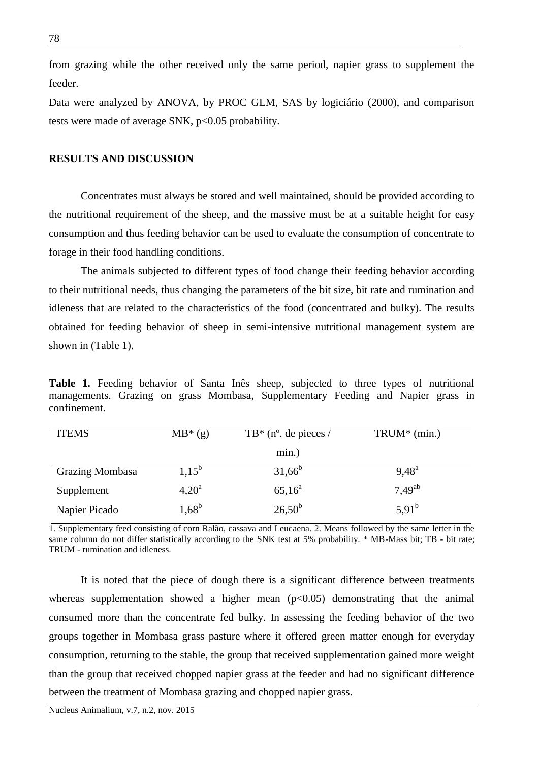from grazing while the other received only the same period, napier grass to supplement the feeder.

Data were analyzed by ANOVA, by PROC GLM, SAS by logiciário (2000), and comparison tests were made of average SNK,  $p<0.05$  probability.

# **RESULTS AND DISCUSSION**

Concentrates must always be stored and well maintained, should be provided according to the nutritional requirement of the sheep, and the massive must be at a suitable height for easy consumption and thus feeding behavior can be used to evaluate the consumption of concentrate to forage in their food handling conditions.

The animals subjected to different types of food change their feeding behavior according to their nutritional needs, thus changing the parameters of the bit size, bit rate and rumination and idleness that are related to the characteristics of the food (concentrated and bulky). The results obtained for feeding behavior of sheep in semi-intensive nutritional management system are shown in (Table 1).

**Table 1.** Feeding behavior of Santa Inês sheep, subjected to three types of nutritional managements. Grazing on grass Mombasa, Supplementary Feeding and Napier grass in confinement.

| <b>ITEMS</b>           | $MB^*(g)$      | $TB^*$ (n <sup>o</sup> . de pieces / | $TRUM^*(min.)$ |
|------------------------|----------------|--------------------------------------|----------------|
|                        |                | min.)                                |                |
| <b>Grazing Mombasa</b> | $1,15^{6}$     | $31,66^{\circ}$                      | $9.48^{\rm a}$ |
| Supplement             | $4,20^{\rm a}$ | $65,16^a$                            | $7.49^{ab}$    |
| Napier Picado          | $1,68^{\rm b}$ | $26,50^{\rm b}$                      | $5,91^{b}$     |

1. Supplementary feed consisting of corn Ralão, cassava and Leucaena. 2. Means followed by the same letter in the same column do not differ statistically according to the SNK test at 5% probability. \* MB-Mass bit; TB - bit rate; TRUM - rumination and idleness.

It is noted that the piece of dough there is a significant difference between treatments whereas supplementation showed a higher mean  $(p<0.05)$  demonstrating that the animal consumed more than the concentrate fed bulky. In assessing the feeding behavior of the two groups together in Mombasa grass pasture where it offered green matter enough for everyday consumption, returning to the stable, the group that received supplementation gained more weight than the group that received chopped napier grass at the feeder and had no significant difference between the treatment of Mombasa grazing and chopped napier grass.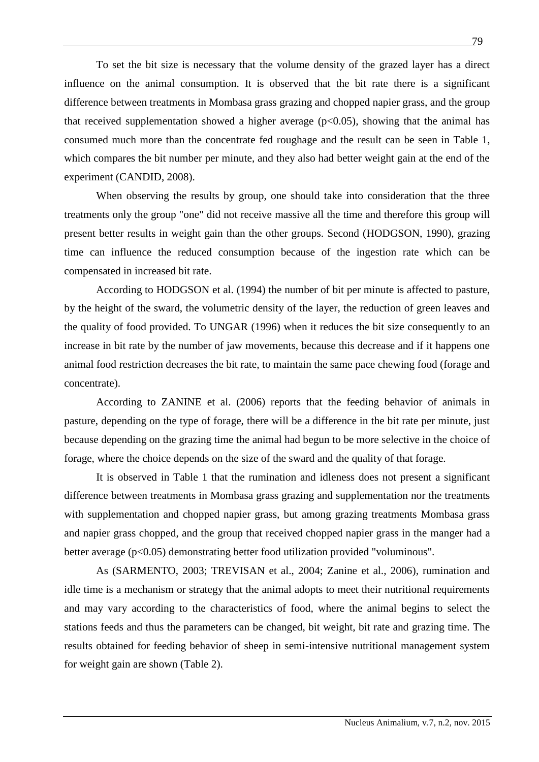To set the bit size is necessary that the volume density of the grazed layer has a direct influence on the animal consumption. It is observed that the bit rate there is a significant difference between treatments in Mombasa grass grazing and chopped napier grass, and the group that received supplementation showed a higher average  $(p<0.05)$ , showing that the animal has consumed much more than the concentrate fed roughage and the result can be seen in Table 1, which compares the bit number per minute, and they also had better weight gain at the end of the experiment (CANDID, 2008).

When observing the results by group, one should take into consideration that the three treatments only the group "one" did not receive massive all the time and therefore this group will present better results in weight gain than the other groups. Second (HODGSON, 1990), grazing time can influence the reduced consumption because of the ingestion rate which can be compensated in increased bit rate.

According to HODGSON et al. (1994) the number of bit per minute is affected to pasture, by the height of the sward, the volumetric density of the layer, the reduction of green leaves and the quality of food provided. To UNGAR (1996) when it reduces the bit size consequently to an increase in bit rate by the number of jaw movements, because this decrease and if it happens one animal food restriction decreases the bit rate, to maintain the same pace chewing food (forage and concentrate).

According to ZANINE et al. (2006) reports that the feeding behavior of animals in pasture, depending on the type of forage, there will be a difference in the bit rate per minute, just because depending on the grazing time the animal had begun to be more selective in the choice of forage, where the choice depends on the size of the sward and the quality of that forage.

It is observed in Table 1 that the rumination and idleness does not present a significant difference between treatments in Mombasa grass grazing and supplementation nor the treatments with supplementation and chopped napier grass, but among grazing treatments Mombasa grass and napier grass chopped, and the group that received chopped napier grass in the manger had a better average (p<0.05) demonstrating better food utilization provided "voluminous".

As (SARMENTO, 2003; TREVISAN et al., 2004; Zanine et al., 2006), rumination and idle time is a mechanism or strategy that the animal adopts to meet their nutritional requirements and may vary according to the characteristics of food, where the animal begins to select the stations feeds and thus the parameters can be changed, bit weight, bit rate and grazing time. The results obtained for feeding behavior of sheep in semi-intensive nutritional management system for weight gain are shown (Table 2).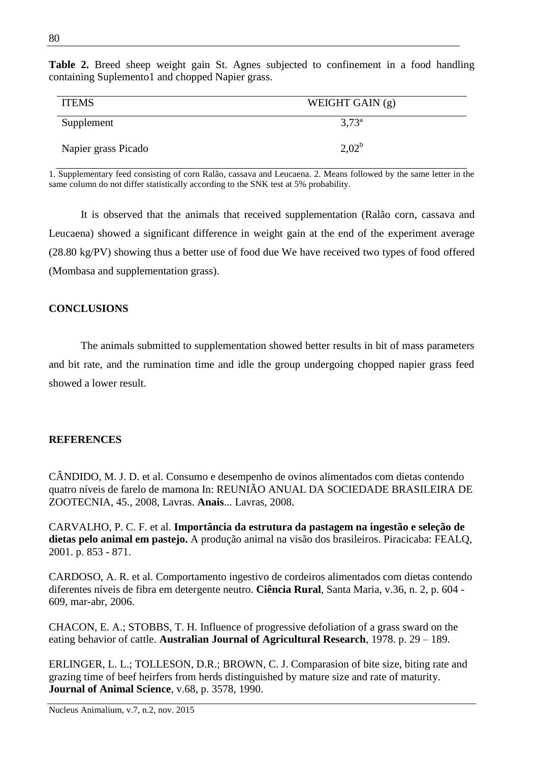| <b>ITEMS</b>        | WEIGHT GAIN $(g)$ |  |
|---------------------|-------------------|--|
| Supplement          | $3,73^{\circ}$    |  |
| Napier grass Picado | $2.02^{\rm b}$    |  |

**Table 2.** Breed sheep weight gain St. Agnes subjected to confinement in a food handling containing Suplemento1 and chopped Napier grass.

1. Supplementary feed consisting of corn Ralão, cassava and Leucaena. 2. Means followed by the same letter in the same column do not differ statistically according to the SNK test at 5% probability.

It is observed that the animals that received supplementation (Ralão corn, cassava and Leucaena) showed a significant difference in weight gain at the end of the experiment average (28.80 kg/PV) showing thus a better use of food due We have received two types of food offered (Mombasa and supplementation grass).

# **CONCLUSIONS**

The animals submitted to supplementation showed better results in bit of mass parameters and bit rate, and the rumination time and idle the group undergoing chopped napier grass feed showed a lower result.

### **REFERENCES**

CÂNDIDO, M. J. D. et al. Consumo e desempenho de ovinos alimentados com dietas contendo quatro níveis de farelo de mamona In: REUNIÃO ANUAL DA SOCIEDADE BRASILEIRA DE ZOOTECNIA, 45., 2008, Lavras. **Anais**... Lavras, 2008.

CARVALHO, P. C. F. et al. **Importância da estrutura da pastagem na ingestão e seleção de dietas pelo animal em pastejo.** A produção animal na visão dos brasileiros. Piracicaba: FEALQ, 2001. p. 853 - 871.

CARDOSO, A. R. et al. Comportamento ingestivo de cordeiros alimentados com dietas contendo diferentes níveis de fibra em detergente neutro. **Ciência Rural**, Santa Maria, v.36, n. 2, p. 604 - 609, mar-abr, 2006.

CHACON, E. A.; STOBBS, T. H. Influence of progressive defoliation of a grass sward on the eating behavior of cattle. **Australian Journal of Agricultural Research**, 1978. p. 29 – 189.

ERLINGER, L. L.; TOLLESON, D.R.; BROWN, C. J. Comparasion of bite size, biting rate and grazing time of beef heirfers from herds distinguished by mature size and rate of maturity. **Journal of Animal Science**, v.68, p. 3578, 1990.